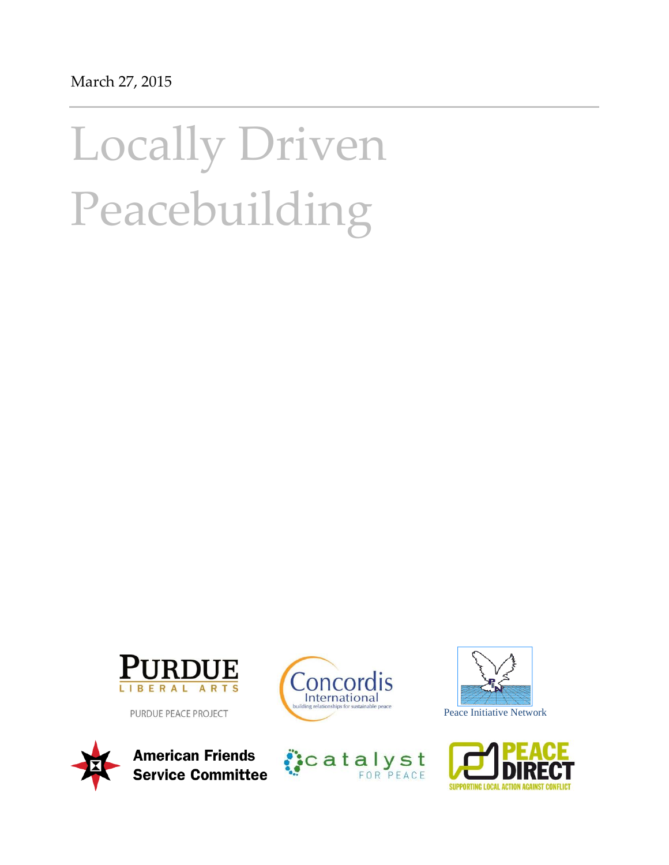# Locally Driven Peacebuilding



PURDUE PEACE PROJECT









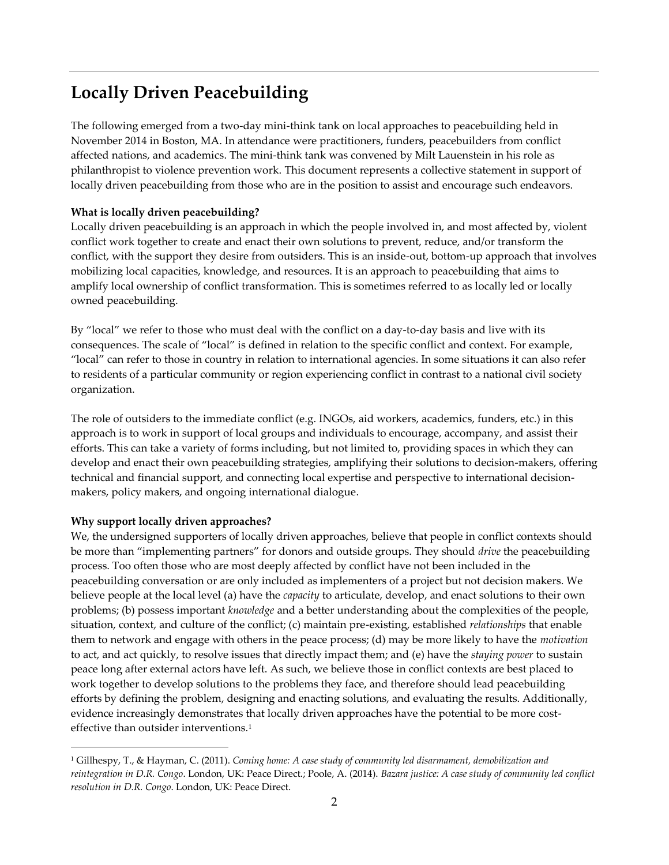# **Locally Driven Peacebuilding**

The following emerged from a two-day mini-think tank on local approaches to peacebuilding held in November 2014 in Boston, MA. In attendance were practitioners, funders, peacebuilders from conflict affected nations, and academics. The mini-think tank was convened by Milt Lauenstein in his role as philanthropist to violence prevention work. This document represents a collective statement in support of locally driven peacebuilding from those who are in the position to assist and encourage such endeavors.

## **What is locally driven peacebuilding?**

Locally driven peacebuilding is an approach in which the people involved in, and most affected by, violent conflict work together to create and enact their own solutions to prevent, reduce, and/or transform the conflict, with the support they desire from outsiders. This is an inside-out, bottom-up approach that involves mobilizing local capacities, knowledge, and resources. It is an approach to peacebuilding that aims to amplify local ownership of conflict transformation. This is sometimes referred to as locally led or locally owned peacebuilding.

By "local" we refer to those who must deal with the conflict on a day-to-day basis and live with its consequences. The scale of "local" is defined in relation to the specific conflict and context. For example, "local" can refer to those in country in relation to international agencies. In some situations it can also refer to residents of a particular community or region experiencing conflict in contrast to a national civil society organization.

The role of outsiders to the immediate conflict (e.g. INGOs, aid workers, academics, funders, etc.) in this approach is to work in support of local groups and individuals to encourage, accompany, and assist their efforts. This can take a variety of forms including, but not limited to, providing spaces in which they can develop and enact their own peacebuilding strategies, amplifying their solutions to decision-makers, offering technical and financial support, and connecting local expertise and perspective to international decisionmakers, policy makers, and ongoing international dialogue.

#### **Why support locally driven approaches?**

 $\overline{a}$ 

We, the undersigned supporters of locally driven approaches, believe that people in conflict contexts should be more than "implementing partners" for donors and outside groups. They should *drive* the peacebuilding process. Too often those who are most deeply affected by conflict have not been included in the peacebuilding conversation or are only included as implementers of a project but not decision makers. We believe people at the local level (a) have the *capacity* to articulate, develop, and enact solutions to their own problems; (b) possess important *knowledge* and a better understanding about the complexities of the people, situation, context, and culture of the conflict; (c) maintain pre-existing, established *relationships* that enable them to network and engage with others in the peace process; (d) may be more likely to have the *motivation* to act, and act quickly, to resolve issues that directly impact them; and (e) have the *staying power* to sustain peace long after external actors have left. As such, we believe those in conflict contexts are best placed to work together to develop solutions to the problems they face, and therefore should lead peacebuilding efforts by defining the problem, designing and enacting solutions, and evaluating the results. Additionally, evidence increasingly demonstrates that locally driven approaches have the potential to be more costeffective than outsider interventions.<sup>1</sup>

<sup>1</sup> Gillhespy, T., & Hayman, C. (2011). *Coming home: A case study of community led disarmament, demobilization and reintegration in D.R. Congo*. London, UK: Peace Direct.; Poole, A. (2014). *Bazara justice: A case study of community led conflict resolution in D.R. Congo*. London, UK: Peace Direct.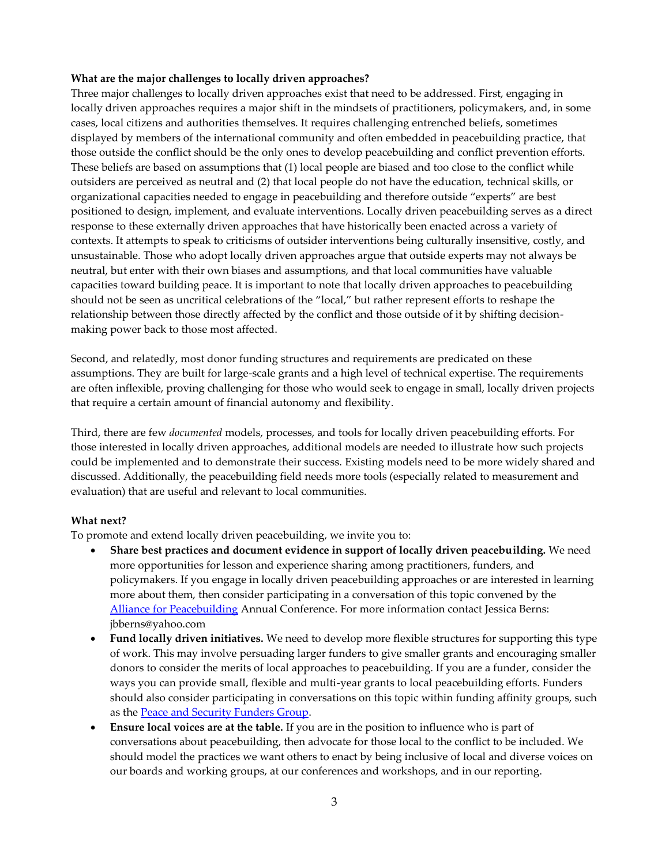#### **What are the major challenges to locally driven approaches?**

Three major challenges to locally driven approaches exist that need to be addressed. First, engaging in locally driven approaches requires a major shift in the mindsets of practitioners, policymakers, and, in some cases, local citizens and authorities themselves. It requires challenging entrenched beliefs, sometimes displayed by members of the international community and often embedded in peacebuilding practice, that those outside the conflict should be the only ones to develop peacebuilding and conflict prevention efforts. These beliefs are based on assumptions that (1) local people are biased and too close to the conflict while outsiders are perceived as neutral and (2) that local people do not have the education, technical skills, or organizational capacities needed to engage in peacebuilding and therefore outside "experts" are best positioned to design, implement, and evaluate interventions. Locally driven peacebuilding serves as a direct response to these externally driven approaches that have historically been enacted across a variety of contexts. It attempts to speak to criticisms of outsider interventions being culturally insensitive, costly, and unsustainable. Those who adopt locally driven approaches argue that outside experts may not always be neutral, but enter with their own biases and assumptions, and that local communities have valuable capacities toward building peace. It is important to note that locally driven approaches to peacebuilding should not be seen as uncritical celebrations of the "local," but rather represent efforts to reshape the relationship between those directly affected by the conflict and those outside of it by shifting decisionmaking power back to those most affected.

Second, and relatedly, most donor funding structures and requirements are predicated on these assumptions. They are built for large-scale grants and a high level of technical expertise. The requirements are often inflexible, proving challenging for those who would seek to engage in small, locally driven projects that require a certain amount of financial autonomy and flexibility.

Third, there are few *documented* models, processes, and tools for locally driven peacebuilding efforts. For those interested in locally driven approaches, additional models are needed to illustrate how such projects could be implemented and to demonstrate their success. Existing models need to be more widely shared and discussed. Additionally, the peacebuilding field needs more tools (especially related to measurement and evaluation) that are useful and relevant to local communities.

#### **What next?**

To promote and extend locally driven peacebuilding, we invite you to:

- **Share best practices and document evidence in support of locally driven peacebuilding.** We need more opportunities for lesson and experience sharing among practitioners, funders, and policymakers. If you engage in locally driven peacebuilding approaches or are interested in learning more about them, then consider participating in a conversation of this topic convened by the [Alliance for Peacebuilding](http://www.allianceforpeacebuilding.org/) Annual Conference. For more information contact Jessica Berns: jbberns@yahoo.com
- **Fund locally driven initiatives.** We need to develop more flexible structures for supporting this type of work. This may involve persuading larger funders to give smaller grants and encouraging smaller donors to consider the merits of local approaches to peacebuilding. If you are a funder, consider the ways you can provide small, flexible and multi-year grants to local peacebuilding efforts. Funders should also consider participating in conversations on this topic within funding affinity groups, such as the [Peace and Security Funders Group.](http://peaceandsecurity.org/)
- **Ensure local voices are at the table.** If you are in the position to influence who is part of conversations about peacebuilding, then advocate for those local to the conflict to be included. We should model the practices we want others to enact by being inclusive of local and diverse voices on our boards and working groups, at our conferences and workshops, and in our reporting.